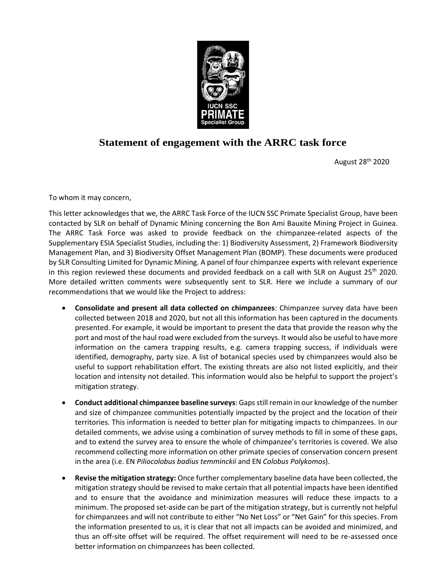

## **Statement of engagement with the ARRC task force**

August 28th 2020

To whom it may concern,

This letter acknowledges that we, the ARRC Task Force of the IUCN SSC Primate Specialist Group, have been contacted by SLR on behalf of Dynamic Mining concerning the Bon Ami Bauxite Mining Project in Guinea. The ARRC Task Force was asked to provide feedback on the chimpanzee-related aspects of the Supplementary ESIA Specialist Studies, including the: 1) Biodiversity Assessment, 2) Framework Biodiversity Management Plan, and 3) Biodiversity Offset Management Plan (BOMP). These documents were produced by SLR Consulting Limited for Dynamic Mining. A panel of four chimpanzee experts with relevant experience in this region reviewed these documents and provided feedback on a call with SLR on August  $25<sup>th</sup>$  2020. More detailed written comments were subsequently sent to SLR. Here we include a summary of our recommendations that we would like the Project to address:

- **Consolidate and present all data collected on chimpanzees**: Chimpanzee survey data have been collected between 2018 and 2020, but not all this information has been captured in the documents presented. For example, it would be important to present the data that provide the reason why the port and most of the haul road were excluded from the surveys. It would also be useful to have more information on the camera trapping results, e.g. camera trapping success, if individuals were identified, demography, party size. A list of botanical species used by chimpanzees would also be useful to support rehabilitation effort. The existing threats are also not listed explicitly, and their location and intensity not detailed. This information would also be helpful to support the project's mitigation strategy.
- **Conduct additional chimpanzee baseline surveys**: Gaps still remain in our knowledge of the number and size of chimpanzee communities potentially impacted by the project and the location of their territories. This information is needed to better plan for mitigating impacts to chimpanzees. In our detailed comments, we advise using a combination of survey methods to fill in some of these gaps, and to extend the survey area to ensure the whole of chimpanzee's territories is covered. We also recommend collecting more information on other primate species of conservation concern present in the area (i.e. EN *Piliocolobus badius temminckii* and EN *Colobus Polykomos*).
- **Revise the mitigation strategy:** Once further complementary baseline data have been collected, the mitigation strategy should be revised to make certain that all potential impacts have been identified and to ensure that the avoidance and minimization measures will reduce these impacts to a minimum. The proposed set-aside can be part of the mitigation strategy, but is currently not helpful for chimpanzees and will not contribute to either "No Net Loss" or "Net Gain" for this species. From the information presented to us, it is clear that not all impacts can be avoided and minimized, and thus an off-site offset will be required. The offset requirement will need to be re-assessed once better information on chimpanzees has been collected.